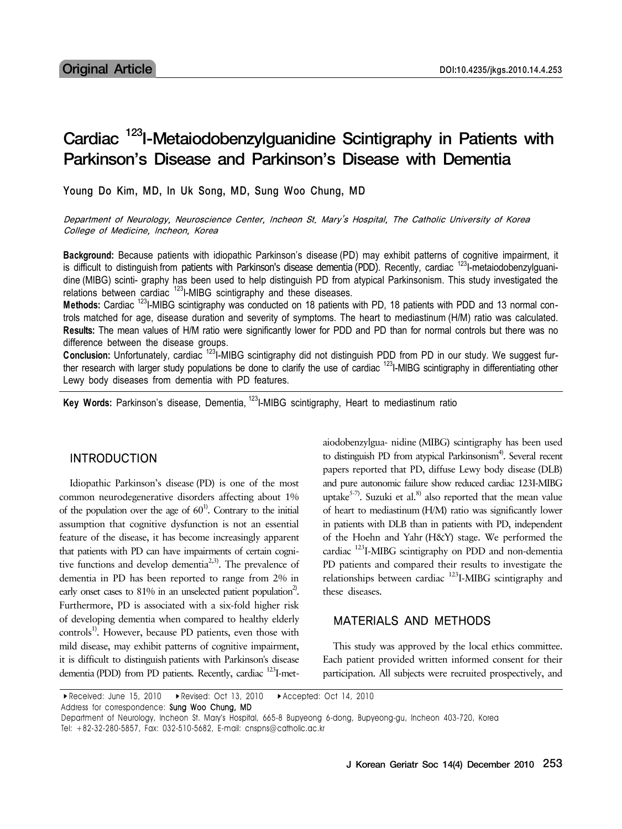# Cardiac <sup>123</sup>I-Metaiodobenzylguanidine Scintigraphy in Patients with Parkinson's Disease and Parkinson's Disease with Dementia

Young Do Kim, MD, In Uk Song, MD, Sung Woo Chung, MD

Department of Neurology, Neuroscience Center, Incheon St. Mary's Hospital, The Catholic University of Korea College of Medicine, Incheon, Korea

**Background:** Because patients with idiopathic Parkinson's disease (PD) may exhibit patterns of cognitive impairment, it is difficult to distinguish from patients with Parkinson's disease dementia (PDD). Recently, cardiac  $^{123}$ I-metaiodobenzylguanidine (MIBG) scinti- graphy has been used to help distinguish PD from atypical Parkinsonism. This study investigated the relations between cardiac  $123$ I-MIBG scintigraphy and these diseases.

**Methods:** Cardiac 123I-MIBG scintigraphy was conducted on 18 patients with PD, 18 patients with PDD and 13 normal controls matched for age, disease duration and severity of symptoms. The heart to mediastinum (H/M) ratio was calculated. **Results:** The mean values of H/M ratio were significantly lower for PDD and PD than for normal controls but there was no difference between the disease groups.

**Conclusion:** Unfortunately, cardiac 123I-MIBG scintigraphy did not distinguish PDD from PD in our study. We suggest further research with larger study populations be done to clarify the use of cardiac <sup>123</sup>I-MIBG scintigraphy in differentiating other Lewy body diseases from dementia with PD features.

**Key Words:** Parkinson's disease, Dementia, 123I-MIBG scintigraphy, Heart to mediastinum ratio

#### INTRODUCTION

Idiopathic Parkinson's disease (PD) is one of the most common neurodegenerative disorders affecting about 1% of the population over the age of  $60<sup>1</sup>$ . Contrary to the initial assumption that cognitive dysfunction is not an essential feature of the disease, it has become increasingly apparent that patients with PD can have impairments of certain cognitive functions and develop dementia<sup>2,3)</sup>. The prevalence of dementia in PD has been reported to range from 2% in early onset cases to 81% in an unselected patient population<sup>2)</sup>. Furthermore, PD is associated with a six-fold higher risk of developing dementia when compared to healthy elderly  $controls<sup>1</sup>$ . However, because PD patients, even those with mild disease, may exhibit patterns of cognitive impairment, it is difficult to distinguish patients with Parkinson's disease dementia (PDD) from PD patients. Recently, cardiac <sup>123</sup>I-metaiodobenzylgua- nidine (MIBG) scintigraphy has been used to distinguish PD from atypical Parkinsonism<sup>4)</sup>. Several recent papers reported that PD, diffuse Lewy body disease (DLB) and pure autonomic failure show reduced cardiac 123I-MIBG uptake<sup>5-7)</sup>. Suzuki et al.<sup>8)</sup> also reported that the mean value of heart to mediastinum (H/M) ratio was significantly lower in patients with DLB than in patients with PD, independent of the Hoehn and Yahr (H&Y) stage. We performed the cardiac  $^{123}$ I-MIBG scintigraphy on PDD and non-dementia PD patients and compared their results to investigate the relationships between cardiac  $123$ I-MIBG scintigraphy and these diseases.

### MATERIALS AND METHODS

This study was approved by the local ethics committee. Each patient provided written informed consent for their participation. All subjects were recruited prospectively, and

▸Received: June 15, 2010 ▸Revised: Oct 13, 2010 ▸Accepted: Oct 14, 2010

Address for correspondence: Sung Woo Chung, MD

Department of Neurology, Incheon St. Mary's Hospital, 665-8 Bupyeong 6-dong, Bupyeong-gu, Incheon 403-720, Korea Tel: +82-32-280-5857, Fax: 032-510-5682, E-mail: cnspns@catholic.ac.kr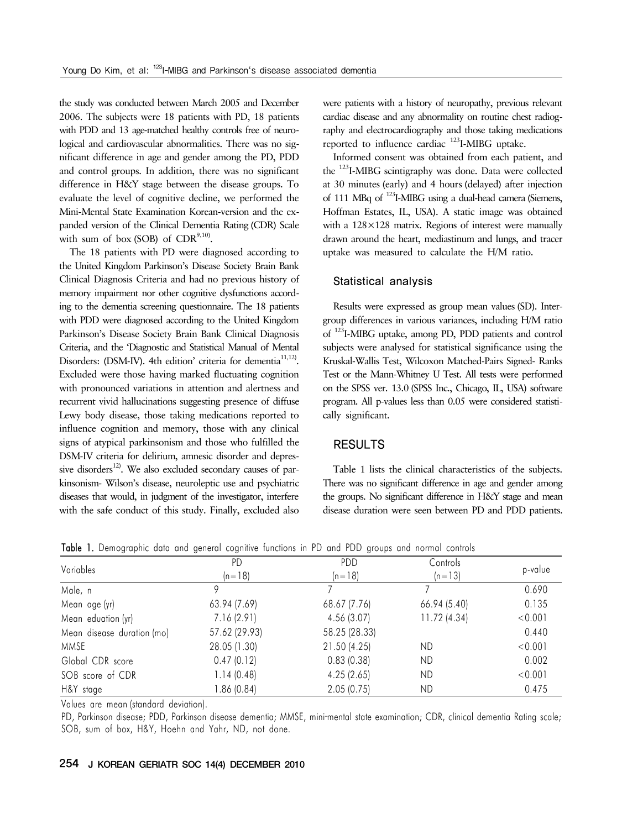the study was conducted between March 2005 and December 2006. The subjects were 18 patients with PD, 18 patients with PDD and 13 age-matched healthy controls free of neurological and cardiovascular abnormalities. There was no significant difference in age and gender among the PD, PDD and control groups. In addition, there was no significant difference in H&Y stage between the disease groups. To evaluate the level of cognitive decline, we performed the Mini-Mental State Examination Korean-version and the expanded version of the Clinical Dementia Rating (CDR) Scale with sum of box (SOB) of  $CDR^{9,10}$ .

The 18 patients with PD were diagnosed according to the United Kingdom Parkinson's Disease Society Brain Bank Clinical Diagnosis Criteria and had no previous history of memory impairment nor other cognitive dysfunctions according to the dementia screening questionnaire. The 18 patients with PDD were diagnosed according to the United Kingdom Parkinson's Disease Society Brain Bank Clinical Diagnosis Criteria, and the 'Diagnostic and Statistical Manual of Mental Disorders: (DSM-IV). 4th edition' criteria for dementia<sup>11,12)</sup>. Excluded were those having marked fluctuating cognition with pronounced variations in attention and alertness and recurrent vivid hallucinations suggesting presence of diffuse Lewy body disease, those taking medications reported to influence cognition and memory, those with any clinical signs of atypical parkinsonism and those who fulfilled the DSM-IV criteria for delirium, amnesic disorder and depressive disorders<sup>12)</sup>. We also excluded secondary causes of parkinsonism- Wilson's disease, neuroleptic use and psychiatric diseases that would, in judgment of the investigator, interfere with the safe conduct of this study. Finally, excluded also were patients with a history of neuropathy, previous relevant cardiac disease and any abnormality on routine chest radiography and electrocardiography and those taking medications reported to influence cardiac  $^{123}$ I-MIBG uptake.

Informed consent was obtained from each patient, and the 123I-MIBG scintigraphy was done. Data were collected at 30 minutes (early) and 4 hours (delayed) after injection of 111 MBq of <sup>123</sup>I-MIBG using a dual-head camera (Siemens, Hoffman Estates, IL, USA). A static image was obtained with a 128×128 matrix. Regions of interest were manually drawn around the heart, mediastinum and lungs, and tracer uptake was measured to calculate the H/M ratio.

#### Statistical analysis

Results were expressed as group mean values (SD). Intergroup differences in various variances, including H/M ratio of 123I-MIBG uptake, among PD, PDD patients and control subjects were analysed for statistical significance using the Kruskal-Wallis Test, Wilcoxon Matched-Pairs Signed- Ranks Test or the Mann-Whitney U Test. All tests were performed on the SPSS ver. 13.0 (SPSS Inc., Chicago, IL, USA) software program. All p-values less than 0.05 were considered statistically significant.

#### RESULTS

Table 1 lists the clinical characteristics of the subjects. There was no significant difference in age and gender among the groups. No significant difference in H&Y stage and mean disease duration were seen between PD and PDD patients.

Table 1. Demographic data and general cognitive functions in PD and PDD groups and normal controls

| Variables                  | <b>PD</b>     | PDD           | Controls     | p-value |  |
|----------------------------|---------------|---------------|--------------|---------|--|
|                            | $(n=18)$      | $(n=18)$      | $(n=13)$     |         |  |
| Male, n                    | 9             |               |              | 0.690   |  |
| Mean age (yr)              | 63.94 (7.69)  | 68.67 (7.76)  | 66.94 (5.40) | 0.135   |  |
| Mean eduation (yr)         | 7.16(2.91)    | 4.56(3.07)    | 11.72 (4.34) | < 0.001 |  |
| Mean disease duration (mo) | 57.62 (29.93) | 58.25 (28.33) |              | 0.440   |  |
| MMSE                       | 28.05 (1.30)  | 21.50 (4.25)  | ND           | < 0.001 |  |
| Global CDR score           | 0.47(0.12)    | 0.83(0.38)    | ND           | 0.002   |  |
| SOB score of CDR           | 1.14(0.48)    | 4.25(2.65)    | ND           | < 0.001 |  |
| H&Y stage                  | 1.86 (0.84)   | 2.05(0.75)    | ND           | 0.475   |  |

Values are mean (standard deviation).

PD, Parkinson disease; PDD, Parkinson disease dementia; MMSE, mini-mental state examination; CDR, clinical dementia Rating scale; SOB, sum of box, H&Y, Hoehn and Yahr, ND, not done.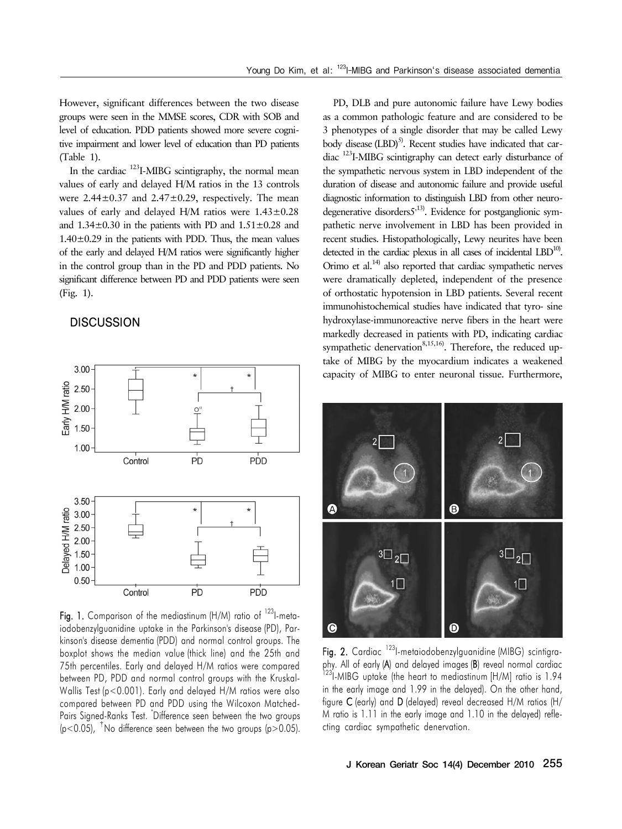However, significant differences between the two disease groups were seen in the MMSE scores, CDR with SOB and level of education. PDD patients showed more severe cognitive impairment and lower level of education than PD patients (Table 1).

In the cardiac  $123$ I-MIBG scintigraphy, the normal mean values of early and delayed H/M ratios in the 13 controls were  $2.44\pm0.37$  and  $2.47\pm0.29$ , respectively. The mean values of early and delayed H/M ratios were  $1.43\pm0.28$ and  $1.34\pm0.30$  in the patients with PD and  $1.51\pm0.28$  and  $1.40\pm0.29$  in the patients with PDD. Thus, the mean values of the early and delayed H/M ratios were significantly higher in the control group than in the PD and PDD patients. No significant difference between PD and PDD patients were seen (Fig. 1).

## **DISCUSSION**



Fig. 1. Comparison of the mediastinum (H/M) ratio of <sup>123</sup>l-metaiodobenzylguanidine uptake in the Parkinson's disease (PD), Parkinson's disease dementia (PDD) and normal control groups. The boxplot shows the median value (thick line) and the 25th and 75th percentiles. Early and delayed H/M ratios were compared between PD, PDD and normal control groups with the Kruskal-Wallis Test (p<0.001). Early and delayed H/M ratios were also compared between PD and PDD using the Wilcoxon Matched-Pairs Signed-Ranks Test. \* Difference seen between the two groups  $(p<0.05)$ , <sup>†</sup>No difference seen between the two groups  $(p>0.05)$ .

PD, DLB and pure autonomic failure have Lewy bodies as a common pathologic feature and are considered to be 3 phenotypes of a single disorder that may be called Lewy body disease  $(LBD)$ <sup>5)</sup>. Recent studies have indicated that cardiac 123I-MIBG scintigraphy can detect early disturbance of the sympathetic nervous system in LBD independent of the duration of disease and autonomic failure and provide useful diagnostic information to distinguish LBD from other neurodegenerative disorders $5^{13}$ . Evidence for postganglionic sympathetic nerve involvement in LBD has been provided in recent studies. Histopathologically, Lewy neurites have been detected in the cardiac plexus in all cases of incidental LBD<sup>10)</sup>. Orimo et al. $^{14}$  also reported that cardiac sympathetic nerves were dramatically depleted, independent of the presence of orthostatic hypotension in LBD patients. Several recent immunohistochemical studies have indicated that tyro- sine hydroxylase-immunoreactive nerve fibers in the heart were markedly decreased in patients with PD, indicating cardiac sympathetic denervation $8,15,16$ . Therefore, the reduced uptake of MIBG by the myocardium indicates a weakened capacity of MIBG to enter neuronal tissue. Furthermore,



Fig. 2. Cardiac <sup>123</sup>I-metaiodobenzylguanidine (MIBG) scintigraphy. All of early (A) and delayed images (B) reveal normal cardiac <sup>123</sup>I-MIBG uptake (the heart to mediastinum [H/M] ratio is 1.94 in the early image and 1.99 in the delayed). On the other hand, figure C (early) and D (delayed) reveal decreased H/M ratios (H/ M ratio is 1.11 in the early image and 1.10 in the delayed) reflecting cardiac sympathetic denervation.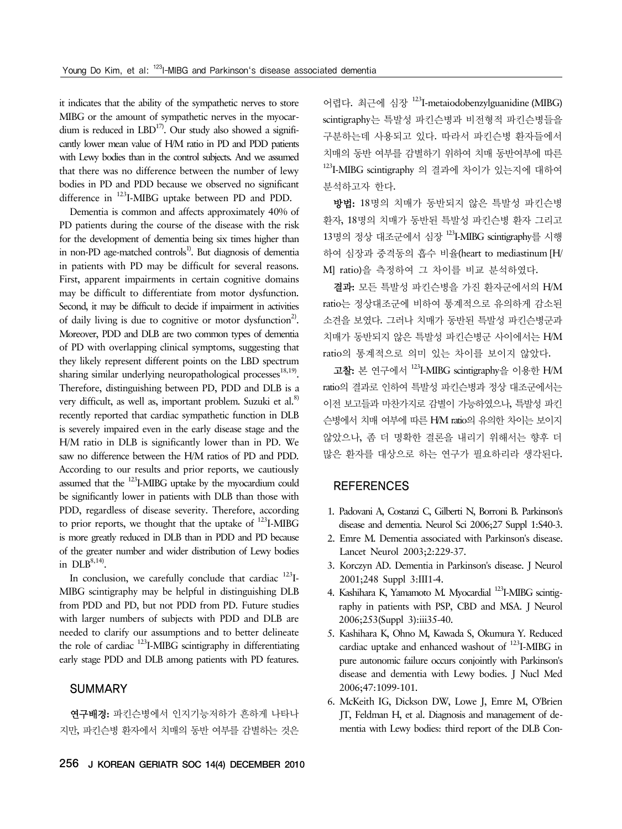it indicates that the ability of the sympathetic nerves to store MIBG or the amount of sympathetic nerves in the myocardium is reduced in  $LBD^{17}$ . Our study also showed a significantly lower mean value of H/M ratio in PD and PDD patients with Lewy bodies than in the control subjects. And we assumed that there was no difference between the number of lewy bodies in PD and PDD because we observed no significant difference in 123I-MIBG uptake between PD and PDD.

Dementia is common and affects approximately 40% of PD patients during the course of the disease with the risk for the development of dementia being six times higher than in non-PD age-matched controls<sup>1)</sup>. But diagnosis of dementia in patients with PD may be difficult for several reasons. First, apparent impairments in certain cognitive domains may be difficult to differentiate from motor dysfunction. Second, it may be difficult to decide if impairment in activities of daily living is due to cognitive or motor dysfunction<sup>2)</sup>. Moreover, PDD and DLB are two common types of dementia of PD with overlapping clinical symptoms, suggesting that they likely represent different points on the LBD spectrum sharing similar underlying neuropathological processes $18,19$ . Therefore, distinguishing between PD, PDD and DLB is a very difficult, as well as, important problem. Suzuki et al.<sup>8)</sup> recently reported that cardiac sympathetic function in DLB is severely impaired even in the early disease stage and the H/M ratio in DLB is significantly lower than in PD. We saw no difference between the H/M ratios of PD and PDD. According to our results and prior reports, we cautiously assumed that the 123I-MIBG uptake by the myocardium could be significantly lower in patients with DLB than those with PDD, regardless of disease severity. Therefore, according to prior reports, we thought that the uptake of  $^{123}$ I-MIBG is more greatly reduced in DLB than in PDD and PD because of the greater number and wider distribution of Lewy bodies in  $DLB^{8,14}$ .

In conclusion, we carefully conclude that cardiac  $^{123}$ I-MIBG scintigraphy may be helpful in distinguishing DLB from PDD and PD, but not PDD from PD. Future studies with larger numbers of subjects with PDD and DLB are needed to clarify our assumptions and to better delineate the role of cardiac 123I-MIBG scintigraphy in differentiating early stage PDD and DLB among patients with PD features.

#### SUMMARY

연구배경: 파킨슨병에서 인지기능저하가 흔하게 나타나 지만, 파킨슨병 환자에서 치매의 동반 여부를 감별하는 것은 어렵다. 최근에 심장 123I-metaiodobenzylguanidine (MIBG) scintigraphy는 특발성 파킨슨병과 비전형적 파킨슨병들을 구분하는데 사용되고 있다. 따라서 파킨슨병 환자들에서 치매의 동반 여부를 감별하기 위하여 치매 동반여부에 따른 123I-MIBG scintigraphy 의 결과에 차이가 있는지에 대하여 분석하고자 한다.

방법: 18명의 치매가 동반되지 않은 특발성 파킨슨병 환자, 18명의 치매가 동반된 특발성 파킨슨병 환자 그리고 13명의 정상 대조군에서 심장 123I-MIBG scintigraphy를 시행 하여 심장과 중격동의 흡수 비율(heart to mediastinum [H/ M] ratio)을 측정하여 그 차이를 비교 분석하였다.

결과: 모든 특발성 파킨슨병을 가진 환자군에서의 H/M ratio는 정상대조군에 비하여 통계적으로 유의하게 감소된 소견을 보였다. 그러나 치매가 동반된 특발성 파킨슨병군과 치매가 동반되지 않은 특발성 파킨슨병군 사이에서는 H/M ratio의 통계적으로 의미 있는 차이를 보이지 않았다.

고찰: 본 연구에서 123I-MIBG scintigraphy을 이용한 H/M ratio의 결과로 인하여 특발성 파킨슨병과 정상 대조군에서는 이전 보고들과 마찬가지로 감별이 가능하였으나, 특발성 파킨 슨병에서 치매 여부에 따른 H/M ratio의 유의한 차이는 보이지 않았으나, 좀 더 명확한 결론을 내리기 위해서는 향후 더 많은 환자를 대상으로 하는 연구가 필요하리라 생각된다.

#### **REFERENCES**

- 1. Padovani A, Costanzi C, Gilberti N, Borroni B. Parkinson's disease and dementia. Neurol Sci 2006;27 Suppl 1:S40-3.
- 2. Emre M. Dementia associated with Parkinson's disease. Lancet Neurol 2003;2:229-37.
- 3. Korczyn AD. Dementia in Parkinson's disease. J Neurol 2001;248 Suppl 3:III1-4.
- 4. Kashihara K, Yamamoto M, Myocardial <sup>123</sup>I-MIBG scintigraphy in patients with PSP, CBD and MSA. J Neurol 2006;253(Suppl 3):iii35-40.
- 5. Kashihara K, Ohno M, Kawada S, Okumura Y. Reduced cardiac uptake and enhanced washout of 123I-MIBG in pure autonomic failure occurs conjointly with Parkinson's disease and dementia with Lewy bodies. J Nucl Med 2006;47:1099-101.
- 6. McKeith IG, Dickson DW, Lowe J, Emre M, O'Brien JT, Feldman H, et al. Diagnosis and management of dementia with Lewy bodies: third report of the DLB Con-